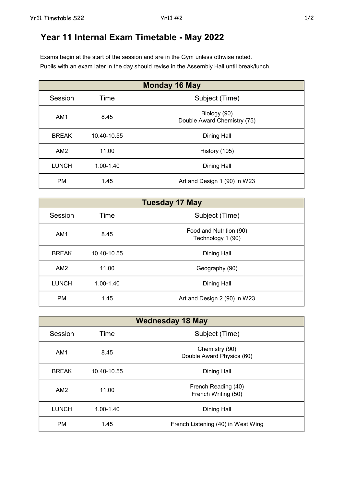## Year 11 Internal Exam Timetable - May 2022

Exams begin at the start of the session and are in the Gym unless othwise noted. Pupils with an exam later in the day should revise in the Assembly Hall until break/lunch.

| <b>Monday 16 May</b> |             |                                             |
|----------------------|-------------|---------------------------------------------|
| Session              | Time        | Subject (Time)                              |
| AM <sub>1</sub>      | 8.45        | Biology (90)<br>Double Award Chemistry (75) |
| <b>BREAK</b>         | 10.40-10.55 | Dining Hall                                 |
| AM2                  | 11.00       | History (105)                               |
| <b>LUNCH</b>         | 1.00-1.40   | <b>Dining Hall</b>                          |
| <b>PM</b>            | 1.45        | Art and Design 1 (90) in W23                |

| <b>Tuesday 17 May</b> |               |                                              |
|-----------------------|---------------|----------------------------------------------|
| Session               | Time          | Subject (Time)                               |
| AM <sub>1</sub>       | 8.45          | Food and Nutrition (90)<br>Technology 1 (90) |
| <b>BREAK</b>          | 10.40-10.55   | <b>Dining Hall</b>                           |
| AM2                   | 11.00         | Geography (90)                               |
| <b>LUNCH</b>          | $1.00 - 1.40$ | <b>Dining Hall</b>                           |
| <b>PM</b>             | 1.45          | Art and Design 2 (90) in W23                 |

| <b>Wednesday 18 May</b> |               |                                             |
|-------------------------|---------------|---------------------------------------------|
| Session                 | Time          | Subject (Time)                              |
| AM <sub>1</sub>         | 8.45          | Chemistry (90)<br>Double Award Physics (60) |
| <b>BREAK</b>            | 10.40-10.55   | Dining Hall                                 |
| AM2                     | 11.00         | French Reading (40)<br>French Writing (50)  |
| <b>LUNCH</b>            | $1.00 - 1.40$ | Dining Hall                                 |
| <b>PM</b>               | 1.45          | French Listening (40) in West Wing          |